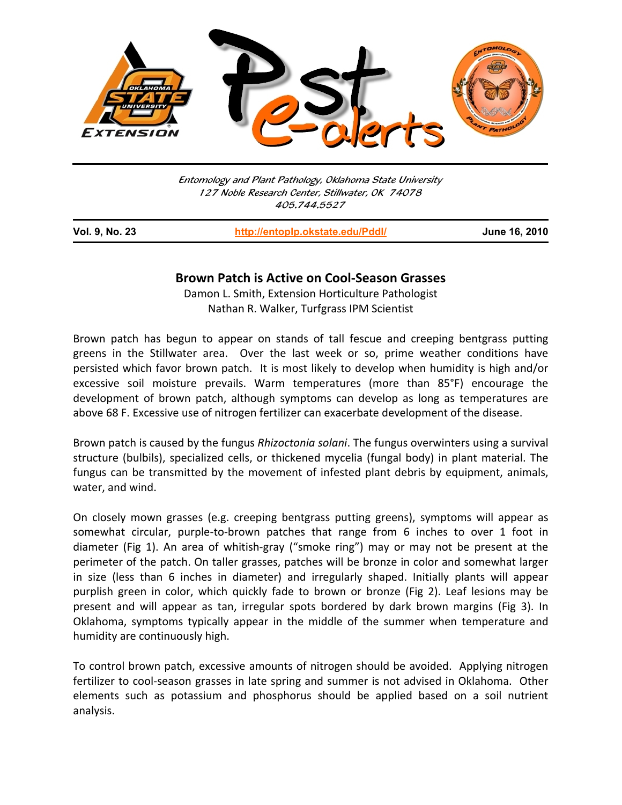

Entomology and Plant Pathology, Oklahoma State University 127 Noble Research Center, Stillwater, OK 74078 405.744.5527

j

**Vol. 9, No. 23 http://entoplp.okstate.edu/Pddl/ June 16, 2010**

## **Brown Patch is Active on Cool‐Season Grasses**

Damon L. Smith, Extension Horticulture Pathologist Nathan R. Walker, Turfgrass IPM Scientist

Brown patch has begun to appear on stands of tall fescue and creeping bentgrass putting greens in the Stillwater area. Over the last week or so, prime weather conditions have persisted which favor brown patch. It is most likely to develop when humidity is high and/or excessive soil moisture prevails. Warm temperatures (more than 85°F) encourage the development of brown patch, although symptoms can develop as long as temperatures are above 68 F. Excessive use of nitrogen fertilizer can exacerbate development of the disease.

Brown patch is caused by the fungus *Rhizoctonia solani*. The fungus overwinters using a survival structure (bulbils), specialized cells, or thickened mycelia (fungal body) in plant material. The fungus can be transmitted by the movement of infested plant debris by equipment, animals, water, and wind.

On closely mown grasses (e.g. creeping bentgrass putting greens), symptoms will appear as somewhat circular, purple-to-brown patches that range from 6 inches to over 1 foot in diameter (Fig 1). An area of whitish‐gray ("smoke ring") may or may not be present at the perimeter of the patch. On taller grasses, patches will be bronze in color and somewhat larger in size (less than 6 inches in diameter) and irregularly shaped. Initially plants will appear purplish green in color, which quickly fade to brown or bronze (Fig 2). Leaf lesions may be present and will appear as tan, irregular spots bordered by dark brown margins (Fig 3). In Oklahoma, symptoms typically appear in the middle of the summer when temperature and humidity are continuously high.

To control brown patch, excessive amounts of nitrogen should be avoided. Applying nitrogen fertilizer to cool-season grasses in late spring and summer is not advised in Oklahoma. Other elements such as potassium and phosphorus should be applied based on a soil nutrient analysis.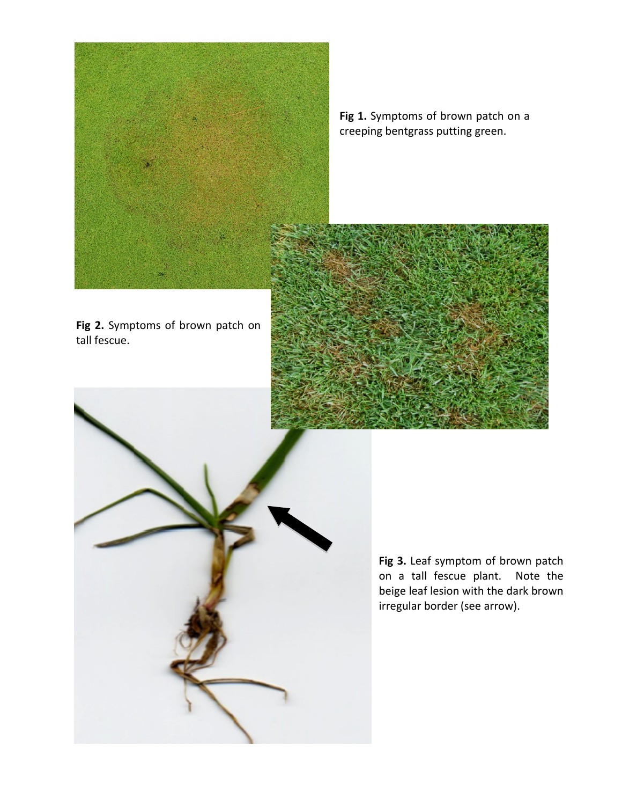

**Fig 1.** Symptoms of brown patch on a creeping bentgrass putting green.



**Fig 2.** Symptoms of brown patch on tall fescue.



**Fig 3.** Leaf symptom of brown patch on a tall fescue plant. Note the beige leaf lesion with the dark brown irregular border (see arrow).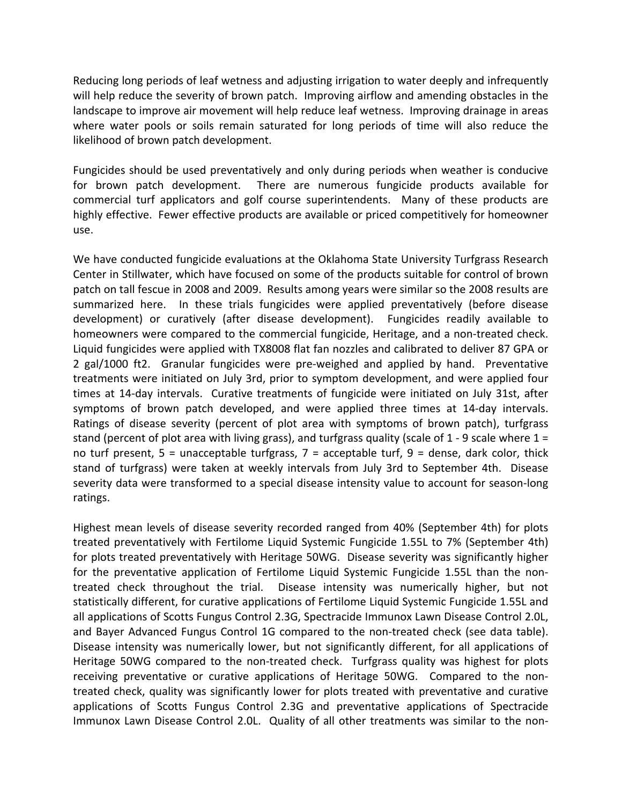Reducing long periods of leaf wetness and adjusting irrigation to water deeply and infrequently will help reduce the severity of brown patch. Improving airflow and amending obstacles in the landscape to improve air movement will help reduce leaf wetness. Improving drainage in areas where water pools or soils remain saturated for long periods of time will also reduce the likelihood of brown patch development.

Fungicides should be used preventatively and only during periods when weather is conducive for brown patch development. There are numerous fungicide products available for commercial turf applicators and golf course superintendents. Many of these products are highly effective. Fewer effective products are available or priced competitively for homeowner use.

We have conducted fungicide evaluations at the Oklahoma State University Turfgrass Research Center in Stillwater, which have focused on some of the products suitable for control of brown patch on tall fescue in 2008 and 2009. Results among years were similar so the 2008 results are summarized here. In these trials fungicides were applied preventatively (before disease development) or curatively (after disease development). Fungicides readily available to homeowners were compared to the commercial fungicide, Heritage, and a non-treated check. Liquid fungicides were applied with TX8008 flat fan nozzles and calibrated to deliver 87 GPA or 2 gal/1000 ft2. Granular fungicides were pre-weighed and applied by hand. Preventative treatments were initiated on July 3rd, prior to symptom development, and were applied four times at 14‐day intervals. Curative treatments of fungicide were initiated on July 31st, after symptoms of brown patch developed, and were applied three times at 14‐day intervals. Ratings of disease severity (percent of plot area with symptoms of brown patch), turfgrass stand (percent of plot area with living grass), and turfgrass quality (scale of 1 - 9 scale where  $1 =$ no turf present, 5 = unacceptable turfgrass, 7 = acceptable turf, 9 = dense, dark color, thick stand of turfgrass) were taken at weekly intervals from July 3rd to September 4th. Disease severity data were transformed to a special disease intensity value to account for season‐long ratings.

Highest mean levels of disease severity recorded ranged from 40% (September 4th) for plots treated preventatively with Fertilome Liquid Systemic Fungicide 1.55L to 7% (September 4th) for plots treated preventatively with Heritage 50WG. Disease severity was significantly higher for the preventative application of Fertilome Liquid Systemic Fungicide 1.55L than the non‐ treated check throughout the trial. Disease intensity was numerically higher, but not statistically different, for curative applications of Fertilome Liquid Systemic Fungicide 1.55L and all applications of Scotts Fungus Control 2.3G, Spectracide Immunox Lawn Disease Control 2.0L, and Bayer Advanced Fungus Control 1G compared to the non-treated check (see data table). Disease intensity was numerically lower, but not significantly different, for all applications of Heritage 50WG compared to the non-treated check. Turfgrass quality was highest for plots receiving preventative or curative applications of Heritage 50WG. Compared to the nontreated check, quality was significantly lower for plots treated with preventative and curative applications of Scotts Fungus Control 2.3G and preventative applications of Spectracide Immunox Lawn Disease Control 2.0L. Quality of all other treatments was similar to the non